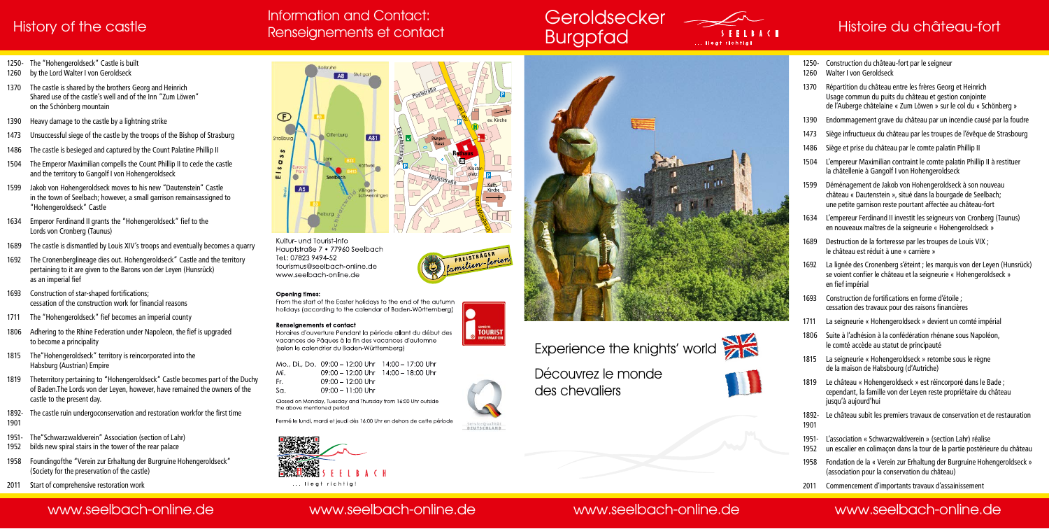

Kultur- und Tourist-Info Hauptstraße 7 · 77960 Seelbach Tel.: 07823 9494-52 tourismus@seelbach-online.de www.seelbach-online.de

### Opening times:

From the start of the Easter holidays to the end of the autumn holidays (according to the calendar of Baden-Württemberg)

### **Renseianements et contact**

Horaires d'ouverture Pendant la période allant du début des vacances de Pâques à la fin des vacances d'automne (selon le calendrier du Baden-Württemberg)

ev. Kirche

Mo., Di., Do. 09:00 - 12:00 Uhr 14:00 - 17:00 Uhr Mi 09:00 - 12:00 Uhr 14:00 - 18:00 Uhr Fr. 09:00 - 12:00 Uhr  $S_{\Omega}$  $09:00 - 11:00$  Uhr

**TOURIST** 

Closed on Monday, Tuesday and Thursday from 16:00 Uhr outside the above mentioned period

ServiceQualität<br>DEUTSCHLAND

Fermé le lundi, mardi et jeudi dès 16:00 Uhr en dehors de cette période







### History of the castle Renseignements et contact Burgpfad Burgham and Histoire du château-fort Histoire du château-fort Information and Contact: Renseignements et contact

# **Geroldsecker**

## www.seelbach-online.de www.seelbach-online.de www.seelbach-online.de www.seelbach-online.de

- 1250- The "Hohengeroldseck" Castle is built
- 1260 by the Lord Walter I von Geroldseck
- 1370 The castle is shared by the brothers Georg and Heinrich Shared use of the castle's well and of the Inn "Zum Löwen" on the Schönberg mountain
- 1390 Heavy damage to the castle by a lightning strike
- 1473 Unsuccessful siege of the castle by the troops of the Bishop of Strasburg
- 1486 The castle is besieged and captured by the Count Palatine Phillip II
- 1504 The Emperor Maximilian compells the Count Phillip II to cede the castle and the territory to Gangolf I von Hohengeroldseck
- Jakob von Hohengeroldseck moves to his new "Dautenstein" Castle in the town of Seelbach; however, a small garrison remainsassigned to "Hohengeroldseck" Castle
- 1634 Emperor Ferdinand II grants the "Hohengeroldseck" fief to the Lords von Cronberg (Taunus)
- 1689 The castle is dismantled by Louis XIV's troops and eventually becomes a quarry
- 1692 The Cronenberglineage dies out. Hohengeroldseck" Castle and the territory pertaining to it are given to the Barons von der Leyen (Hunsrück) as an imperial fief
- 1693 Construction of star-shaped fortifications; cessation of the construction work for financial reasons
- 1711 The "Hohengeroldseck" fief becomes an imperial county
- 1806 Adhering to the Rhine Federation under Napoleon, the fief is upgraded to become a principality
- 1815 The"Hohengeroldseck" territory is reincorporated into the Habsburg (Austrian) Empire
- 1819 Theterritory pertaining to "Hohengeroldseck" Castle becomes part of the Duchy of Baden.The Lords von der Leyen, however, have remained the owners of the castle to the present day.
- 1892- The castle ruin undergoconservation and restoration workfor the first time 1901
- 1951- The"Schwarzwaldverein" Association (section of Lahr)
- 1952 bilds new spiral stairs in the tower of the rear palace
- 1958 Foundingofthe "Verein zur Erhaltung der Burgruine Hohengeroldseck" (Society for the preservation of the castle)
- 2011 Start of comprehensive restoration work
- 1250- Construction du château-fort par le seigneur
- 1260 Walter I von Geroldseck
- 1370 Répartition du château entre les frères Georg et Heinrich Usage commun du puits du château et gestion conjointe de l'Auberge châtelaine « Zum Löwen » sur le col du « Schönberg »
- 1390 Endommagement grave du château par un incendie causé par la foudre
- 1473 Siège infructueux du château par les troupes de l'évêque de Strasbourg
- 1486 Siège et prise du château par le comte palatin Phillip II
- 1504 L'empereur Maximilian contraint le comte palatin Phillip II à restituer la châtellenie à Gangolf I von Hohengeroldseck
- 1599 Déménagement de Jakob von Hohengeroldseck à son nouveau château « Dautenstein », situé dans la bourgade de Seelbach; une petite garnison reste pourtant affectée au château-fort
- 1634 L'empereur Ferdinand II investit les seigneurs von Cronberg (Taunus) en nouveaux maîtres de la seigneurie « Hohengeroldseck »
- 1689 Destruction de la forteresse par les troupes de Louis VIX ; le château est réduit à une « carrière »
- 1692 La lignée des Cronenberg s'éteint ; les marquis von der Leyen (Hunsrück) se voient confier le château et la seigneurie « Hohengeroldseck » en fief impérial
- 1693 Construction de fortifications en forme d'étoile ; cessation des travaux pour des raisons financières
- 1711 La seigneurie « Hohengeroldseck » devient un comté impérial
- Suite à l'adhésion à la confédération rhénane sous Napoléon, le comté accède au statut de principauté
- 1815 La seigneurie « Hohengeroldseck » retombe sous le règne de la maison de Habsbourg (d'Autriche)
- 1819 Le château « Hohengeroldseck » est réincorporé dans le Bade ; cependant, la famille von der Leyen reste propriétaire du château jusqu'à aujourd'hui
- 1892- Le château subit les premiers travaux de conservation et de restauration 1901
- 1951- L'association « Schwarzwaldverein » (section Lahr) réalise
- 1952 un escalier en colimaçon dans la tour de la partie postérieure du château
- 1958 Fondation de la « Verein zur Erhaltung der Burgruine Hohengeroldseck » (association pour la conservation du château)
- 2011 Commencement d'importants travaux d'assainissement



Découvrez le monde des chevaliers